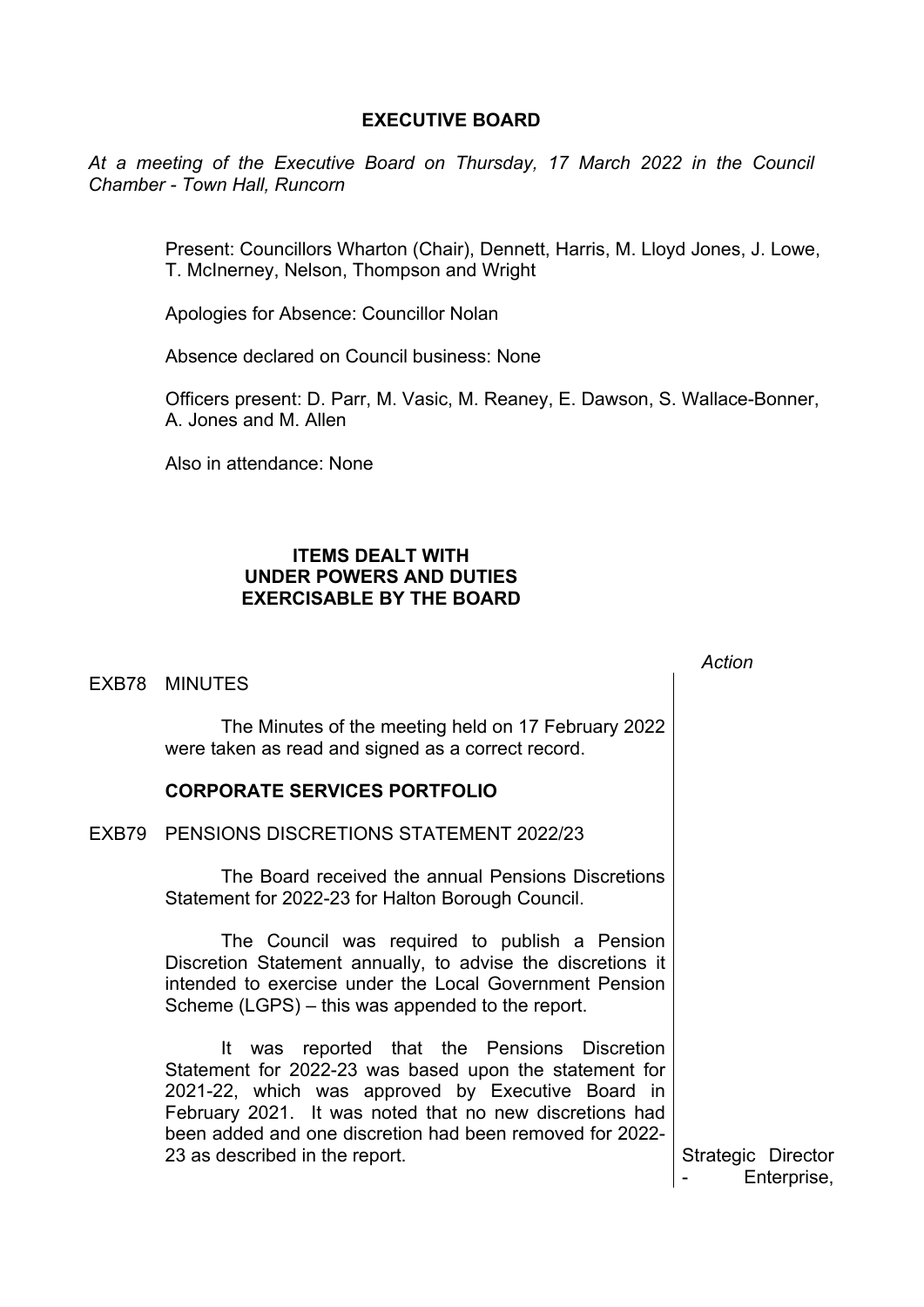# **EXECUTIVE BOARD**

*At a meeting of the Executive Board on Thursday, 17 March 2022 in the Council Chamber - Town Hall, Runcorn*

> Present: Councillors Wharton (Chair), Dennett, Harris, M. Lloyd Jones, J. Lowe, T. McInerney, Nelson, Thompson and Wright

Apologies for Absence: Councillor Nolan

Absence declared on Council business: None

Officers present: D. Parr, M. Vasic, M. Reaney, E. Dawson, S. Wallace-Bonner, A. Jones and M. Allen

Also in attendance: None

## **ITEMS DEALT WITH UNDER POWERS AND DUTIES EXERCISABLE BY THE BOARD**

| EXB78 MINUTES                                                                                                                                                                                                                                                                                                        | Action                            |
|----------------------------------------------------------------------------------------------------------------------------------------------------------------------------------------------------------------------------------------------------------------------------------------------------------------------|-----------------------------------|
| The Minutes of the meeting held on 17 February 2022<br>were taken as read and signed as a correct record.                                                                                                                                                                                                            |                                   |
| <b>CORPORATE SERVICES PORTFOLIO</b>                                                                                                                                                                                                                                                                                  |                                   |
| EXB79 PENSIONS DISCRETIONS STATEMENT 2022/23                                                                                                                                                                                                                                                                         |                                   |
| The Board received the annual Pensions Discretions<br>Statement for 2022-23 for Halton Borough Council.                                                                                                                                                                                                              |                                   |
| The Council was required to publish a Pension<br>Discretion Statement annually, to advise the discretions it<br>intended to exercise under the Local Government Pension<br>Scheme (LGPS) – this was appended to the report.                                                                                          |                                   |
| It was reported that the Pensions Discretion<br>Statement for 2022-23 was based upon the statement for<br>2021-22, which was approved by Executive Board in<br>February 2021. It was noted that no new discretions had<br>been added and one discretion had been removed for 2022-<br>23 as described in the report. | Strategic Director<br>Enterprise, |
|                                                                                                                                                                                                                                                                                                                      |                                   |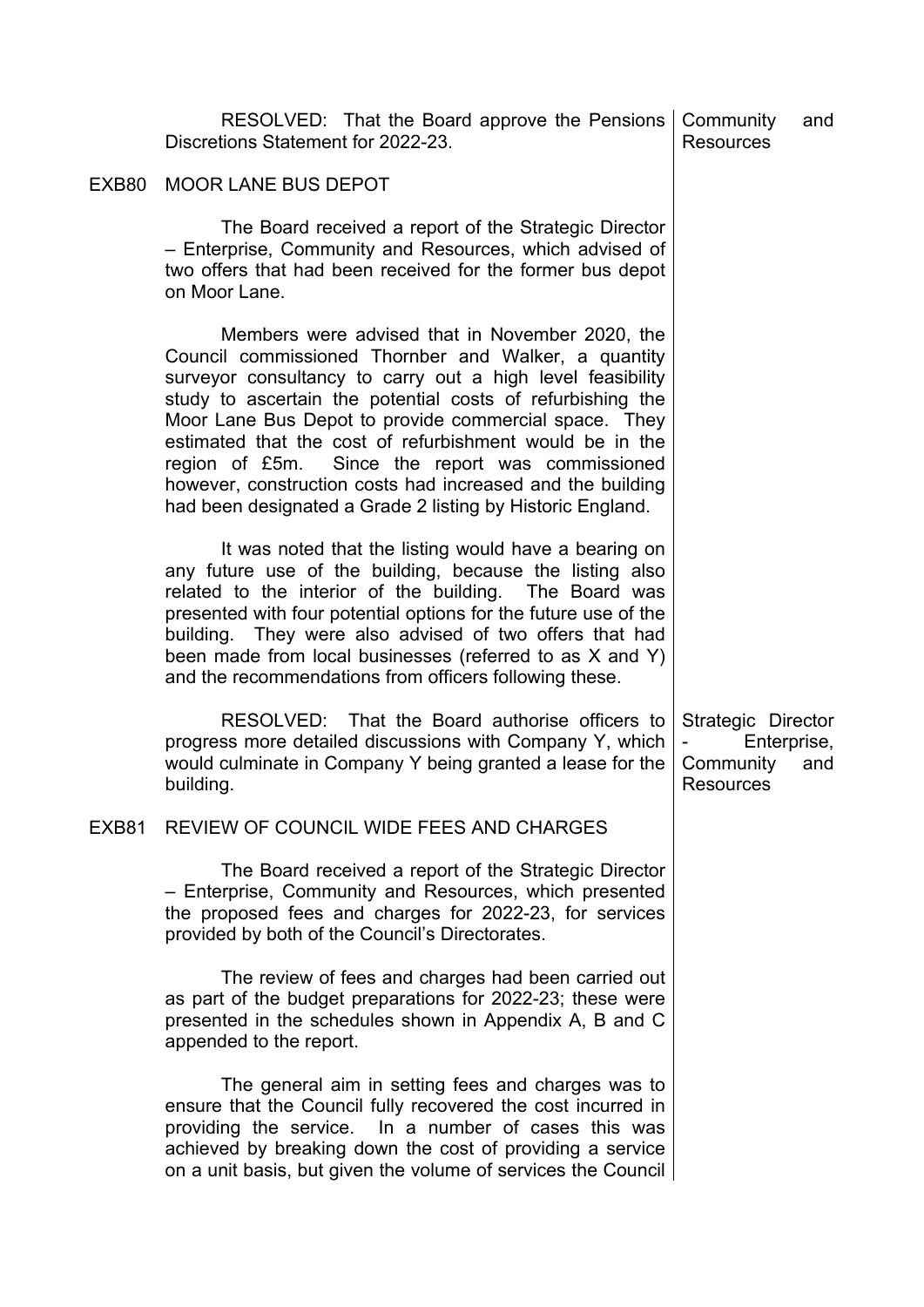|       | RESOLVED: That the Board approve the Pensions<br>Discretions Statement for 2022-23.                                                                                                                                                                                                                                                                                                                                                                                                                                                      | Community<br><b>Resources</b>                                      | and |
|-------|------------------------------------------------------------------------------------------------------------------------------------------------------------------------------------------------------------------------------------------------------------------------------------------------------------------------------------------------------------------------------------------------------------------------------------------------------------------------------------------------------------------------------------------|--------------------------------------------------------------------|-----|
| EXB80 | MOOR LANE BUS DEPOT                                                                                                                                                                                                                                                                                                                                                                                                                                                                                                                      |                                                                    |     |
|       | The Board received a report of the Strategic Director<br>- Enterprise, Community and Resources, which advised of<br>two offers that had been received for the former bus depot<br>on Moor Lane.                                                                                                                                                                                                                                                                                                                                          |                                                                    |     |
|       | Members were advised that in November 2020, the<br>Council commissioned Thornber and Walker, a quantity<br>surveyor consultancy to carry out a high level feasibility<br>study to ascertain the potential costs of refurbishing the<br>Moor Lane Bus Depot to provide commercial space. They<br>estimated that the cost of refurbishment would be in the<br>region of £5m. Since the report was commissioned<br>however, construction costs had increased and the building<br>had been designated a Grade 2 listing by Historic England. |                                                                    |     |
|       | It was noted that the listing would have a bearing on<br>any future use of the building, because the listing also<br>related to the interior of the building. The Board was<br>presented with four potential options for the future use of the<br>building. They were also advised of two offers that had<br>been made from local businesses (referred to as X and Y)<br>and the recommendations from officers following these.                                                                                                          |                                                                    |     |
|       | RESOLVED: That the Board authorise officers to<br>progress more detailed discussions with Company Y, which<br>would culminate in Company Y being granted a lease for the<br>building.                                                                                                                                                                                                                                                                                                                                                    | Strategic Director<br>Enterprise,<br>Community<br><b>Resources</b> | and |
|       | EXB81 REVIEW OF COUNCIL WIDE FEES AND CHARGES                                                                                                                                                                                                                                                                                                                                                                                                                                                                                            |                                                                    |     |
|       | The Board received a report of the Strategic Director<br>- Enterprise, Community and Resources, which presented<br>the proposed fees and charges for 2022-23, for services<br>provided by both of the Council's Directorates.                                                                                                                                                                                                                                                                                                            |                                                                    |     |
|       | The review of fees and charges had been carried out<br>as part of the budget preparations for 2022-23; these were<br>presented in the schedules shown in Appendix A, B and C<br>appended to the report.                                                                                                                                                                                                                                                                                                                                  |                                                                    |     |
|       | The general aim in setting fees and charges was to<br>ensure that the Council fully recovered the cost incurred in<br>providing the service. In a number of cases this was<br>achieved by breaking down the cost of providing a service<br>on a unit basis, but given the volume of services the Council                                                                                                                                                                                                                                 |                                                                    |     |
|       |                                                                                                                                                                                                                                                                                                                                                                                                                                                                                                                                          |                                                                    |     |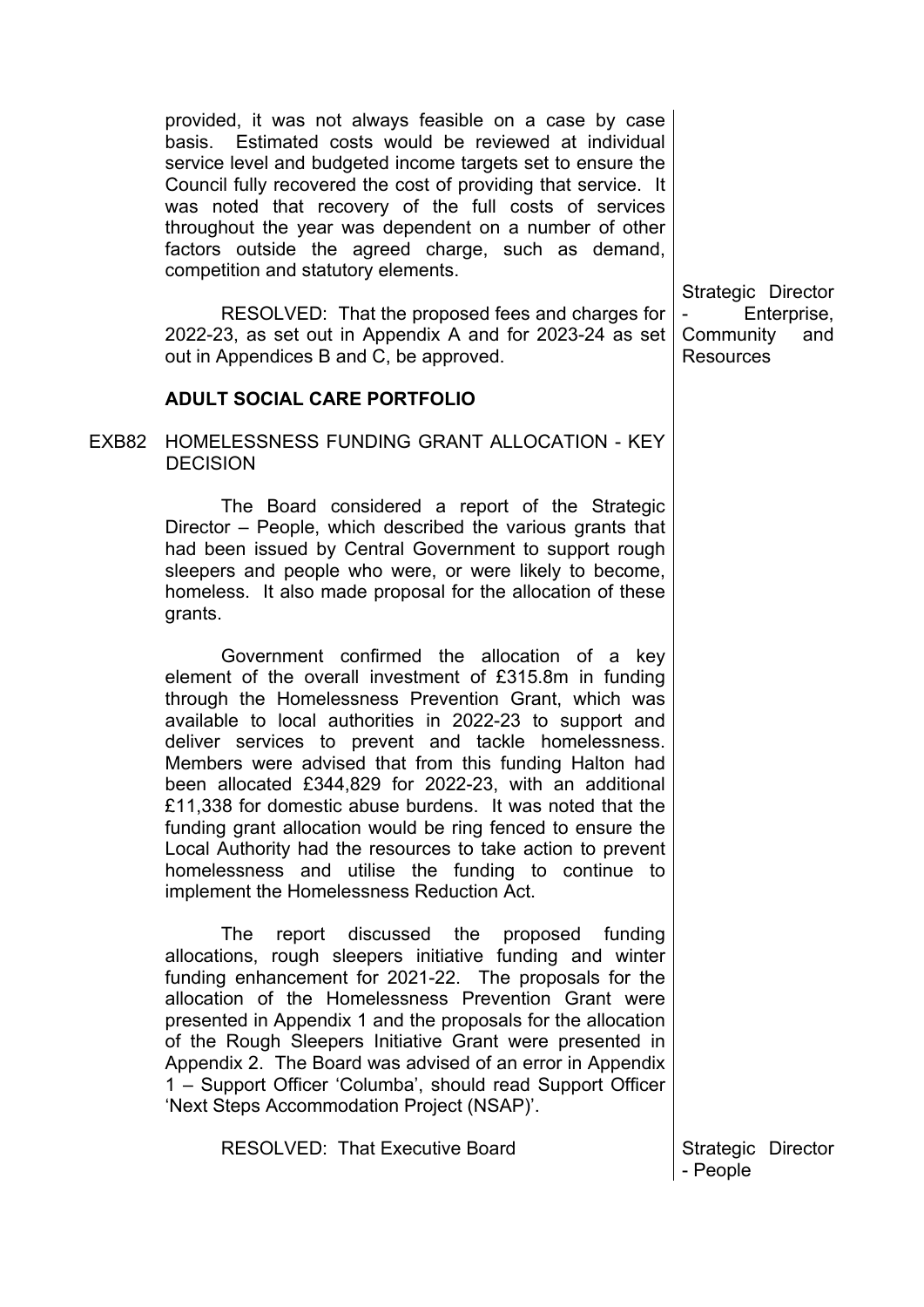provided, it was not always feasible on a case by case basis. Estimated costs would be reviewed at individual service level and budgeted income targets set to ensure the Council fully recovered the cost of providing that service. It was noted that recovery of the full costs of services throughout the year was dependent on a number of other factors outside the agreed charge, such as demand, competition and statutory elements.

RESOLVED: That the proposed fees and charges for 2022-23, as set out in Appendix A and for 2023-24 as set out in Appendices B and C, be approved.

#### **ADULT SOCIAL CARE PORTFOLIO**

EXB82 HOMELESSNESS FUNDING GRANT ALLOCATION - KEY **DECISION** 

> The Board considered a report of the Strategic Director – People, which described the various grants that had been issued by Central Government to support rough sleepers and people who were, or were likely to become, homeless. It also made proposal for the allocation of these grants.

> Government confirmed the allocation of a key element of the overall investment of £315.8m in funding through the Homelessness Prevention Grant, which was available to local authorities in 2022-23 to support and deliver services to prevent and tackle homelessness. Members were advised that from this funding Halton had been allocated £344,829 for 2022-23, with an additional £11,338 for domestic abuse burdens. It was noted that the funding grant allocation would be ring fenced to ensure the Local Authority had the resources to take action to prevent homelessness and utilise the funding to continue to implement the Homelessness Reduction Act.

> The report discussed the proposed funding allocations, rough sleepers initiative funding and winter funding enhancement for 2021-22. The proposals for the allocation of the Homelessness Prevention Grant were presented in Appendix 1 and the proposals for the allocation of the Rough Sleepers Initiative Grant were presented in Appendix 2. The Board was advised of an error in Appendix 1 – Support Officer 'Columba', should read Support Officer 'Next Steps Accommodation Project (NSAP)'.

> > RESOLVED: That Executive Board **Strategic Director**

Strategic Director Enterprise, Community and Resources

- People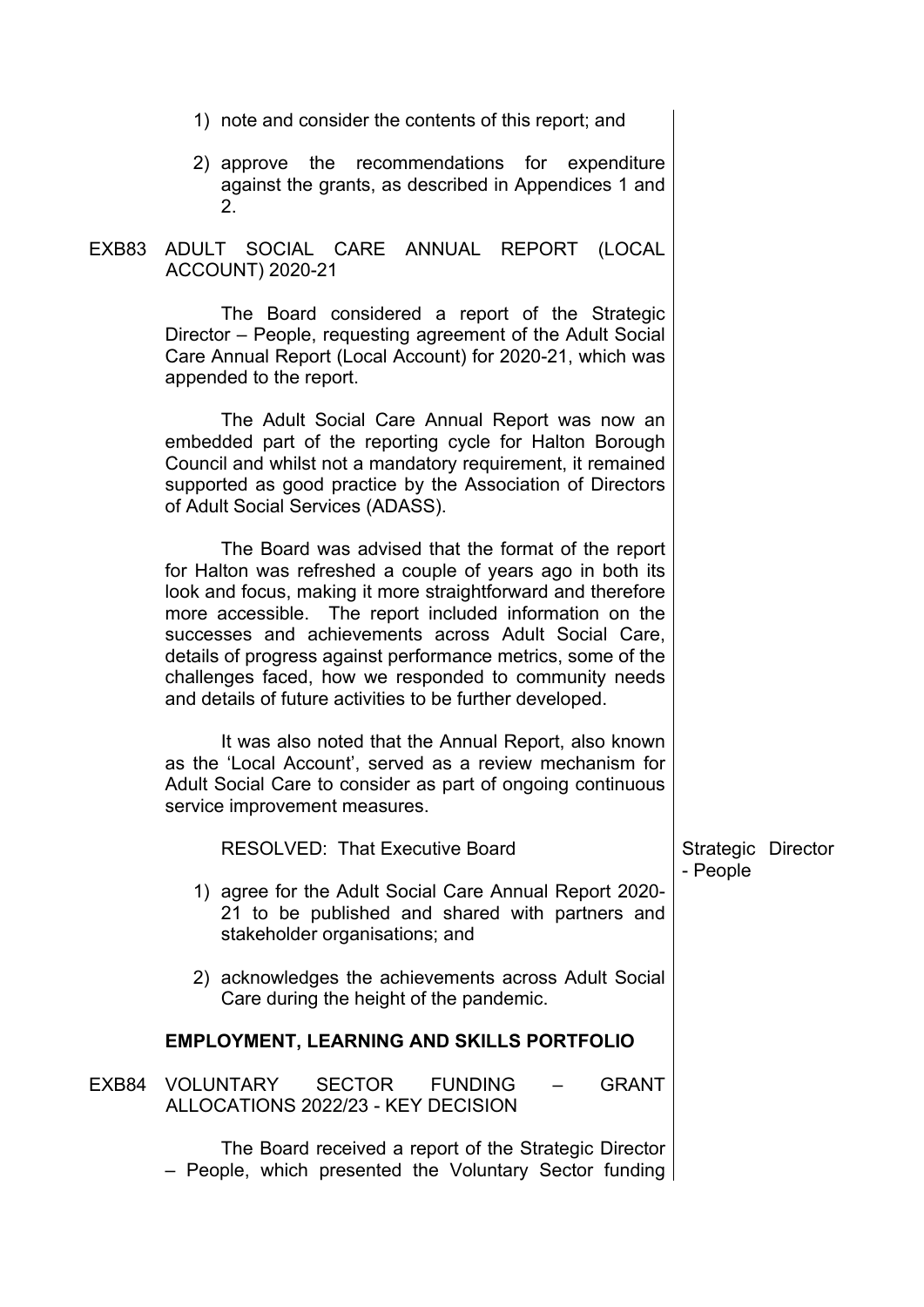- 1) note and consider the contents of this report; and
- 2) approve the recommendations for expenditure against the grants, as described in Appendices 1 and 2.
- EXB83 ADULT SOCIAL CARE ANNUAL REPORT (LOCAL ACCOUNT) 2020-21

The Board considered a report of the Strategic Director – People, requesting agreement of the Adult Social Care Annual Report (Local Account) for 2020-21, which was appended to the report.

The Adult Social Care Annual Report was now an embedded part of the reporting cycle for Halton Borough Council and whilst not a mandatory requirement, it remained supported as good practice by the Association of Directors of Adult Social Services (ADASS).

The Board was advised that the format of the report for Halton was refreshed a couple of years ago in both its look and focus, making it more straightforward and therefore more accessible. The report included information on the successes and achievements across Adult Social Care, details of progress against performance metrics, some of the challenges faced, how we responded to community needs and details of future activities to be further developed.

It was also noted that the Annual Report, also known as the 'Local Account', served as a review mechanism for Adult Social Care to consider as part of ongoing continuous service improvement measures.

| <b>RESOLVED: That Executive Board</b>                                                                                                       | Strategic Director<br>- People |
|---------------------------------------------------------------------------------------------------------------------------------------------|--------------------------------|
| 1) agree for the Adult Social Care Annual Report 2020-<br>21 to be published and shared with partners and<br>stakeholder organisations; and |                                |
| 2) acknowledges the achievements across Adult Social<br>Care during the height of the pandemic.                                             |                                |
| <b>EMPLOYMENT, LEARNING AND SKILLS PORTFOLIO</b>                                                                                            |                                |
| EXB84 VOLUNTARY<br><b>FUNDING</b><br><b>GRANT</b><br><b>SECTOR</b><br>ALLOCATIONS 2022/23 - KEY DECISION                                    |                                |
| The Board received a report of the Strategic Director                                                                                       |                                |

– People, which presented the Voluntary Sector funding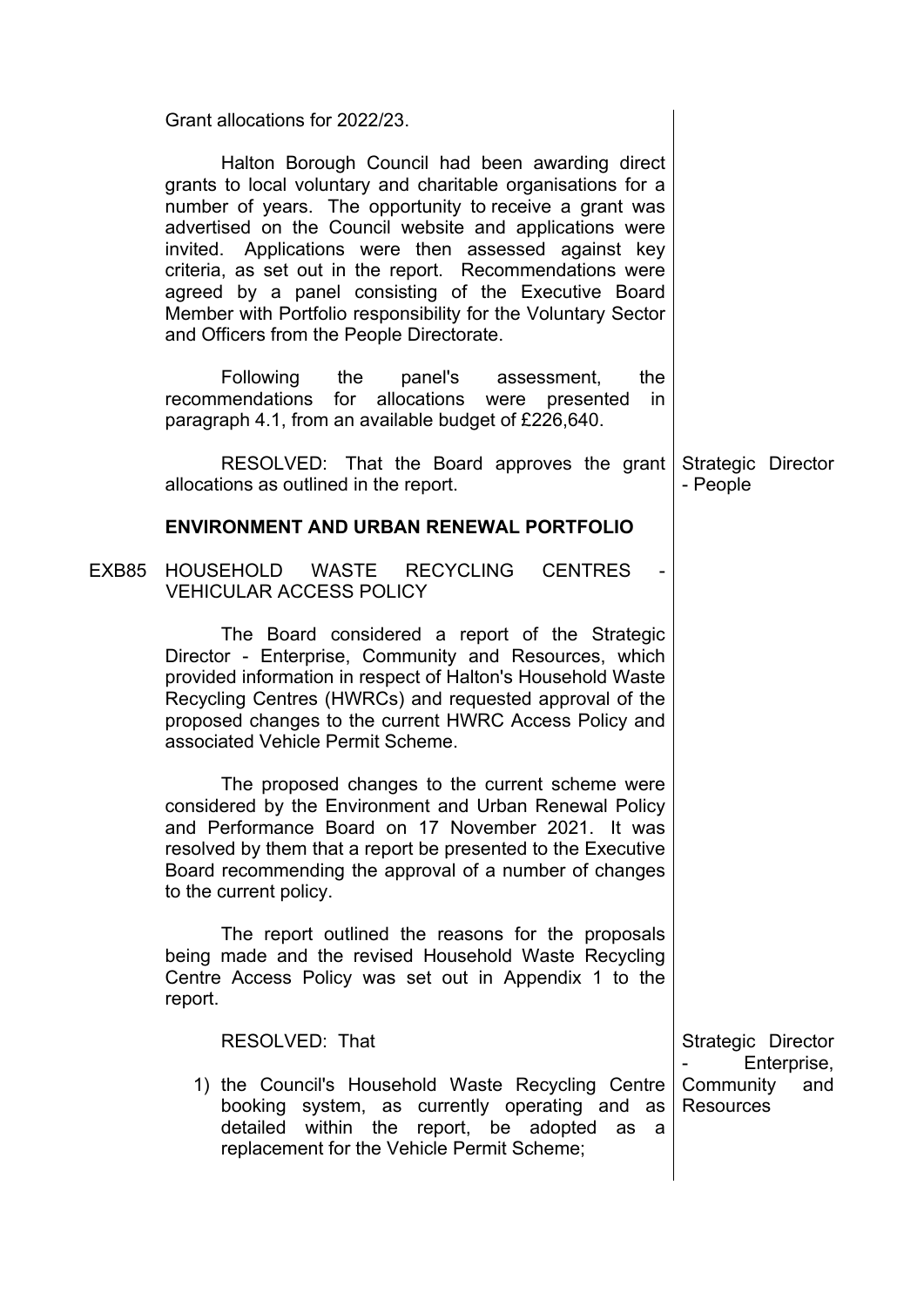| Grant allocations for 2022/23.                                                                                                                                                                                                                                                                                                                                                                                                                                                                                                 |                                      |
|--------------------------------------------------------------------------------------------------------------------------------------------------------------------------------------------------------------------------------------------------------------------------------------------------------------------------------------------------------------------------------------------------------------------------------------------------------------------------------------------------------------------------------|--------------------------------------|
| Halton Borough Council had been awarding direct<br>grants to local voluntary and charitable organisations for a<br>number of years. The opportunity to receive a grant was<br>advertised on the Council website and applications were<br>invited. Applications were then assessed against key<br>criteria, as set out in the report. Recommendations were<br>agreed by a panel consisting of the Executive Board<br>Member with Portfolio responsibility for the Voluntary Sector<br>and Officers from the People Directorate. |                                      |
| Following the<br>panel's assessment,<br>the<br>recommendations for allocations were presented<br>in<br>paragraph 4.1, from an available budget of £226,640.                                                                                                                                                                                                                                                                                                                                                                    |                                      |
| RESOLVED: That the Board approves the grant<br>allocations as outlined in the report.                                                                                                                                                                                                                                                                                                                                                                                                                                          | Strategic Director<br>- People       |
| <b>ENVIRONMENT AND URBAN RENEWAL PORTFOLIO</b>                                                                                                                                                                                                                                                                                                                                                                                                                                                                                 |                                      |
| HOUSEHOLD WASTE<br>RECYCLING<br><b>CENTRES</b><br><b>VEHICULAR ACCESS POLICY</b>                                                                                                                                                                                                                                                                                                                                                                                                                                               |                                      |
| The Board considered a report of the Strategic<br>Director - Enterprise, Community and Resources, which<br>provided information in respect of Halton's Household Waste<br>Recycling Centres (HWRCs) and requested approval of the<br>proposed changes to the current HWRC Access Policy and<br>associated Vehicle Permit Scheme.                                                                                                                                                                                               |                                      |
| The proposed changes to the current scheme were<br>considered by the Environment and Urban Renewal Policy<br>and Performance Board on 17 November 2021. It was<br>resolved by them that a report be presented to the Executive<br>Board recommending the approval of a number of changes<br>to the current policy.                                                                                                                                                                                                             |                                      |
| The report outlined the reasons for the proposals<br>being made and the revised Household Waste Recycling<br>Centre Access Policy was set out in Appendix 1 to the<br>report.                                                                                                                                                                                                                                                                                                                                                  |                                      |
| RESOLVED: That                                                                                                                                                                                                                                                                                                                                                                                                                                                                                                                 | Strategic Director<br>Enterprise,    |
| 1) the Council's Household Waste Recycling Centre<br>booking system, as currently operating and as<br>detailed within the report, be adopted<br>as a<br>replacement for the Vehicle Permit Scheme;                                                                                                                                                                                                                                                                                                                             | Community<br>and<br><b>Resources</b> |
|                                                                                                                                                                                                                                                                                                                                                                                                                                                                                                                                |                                      |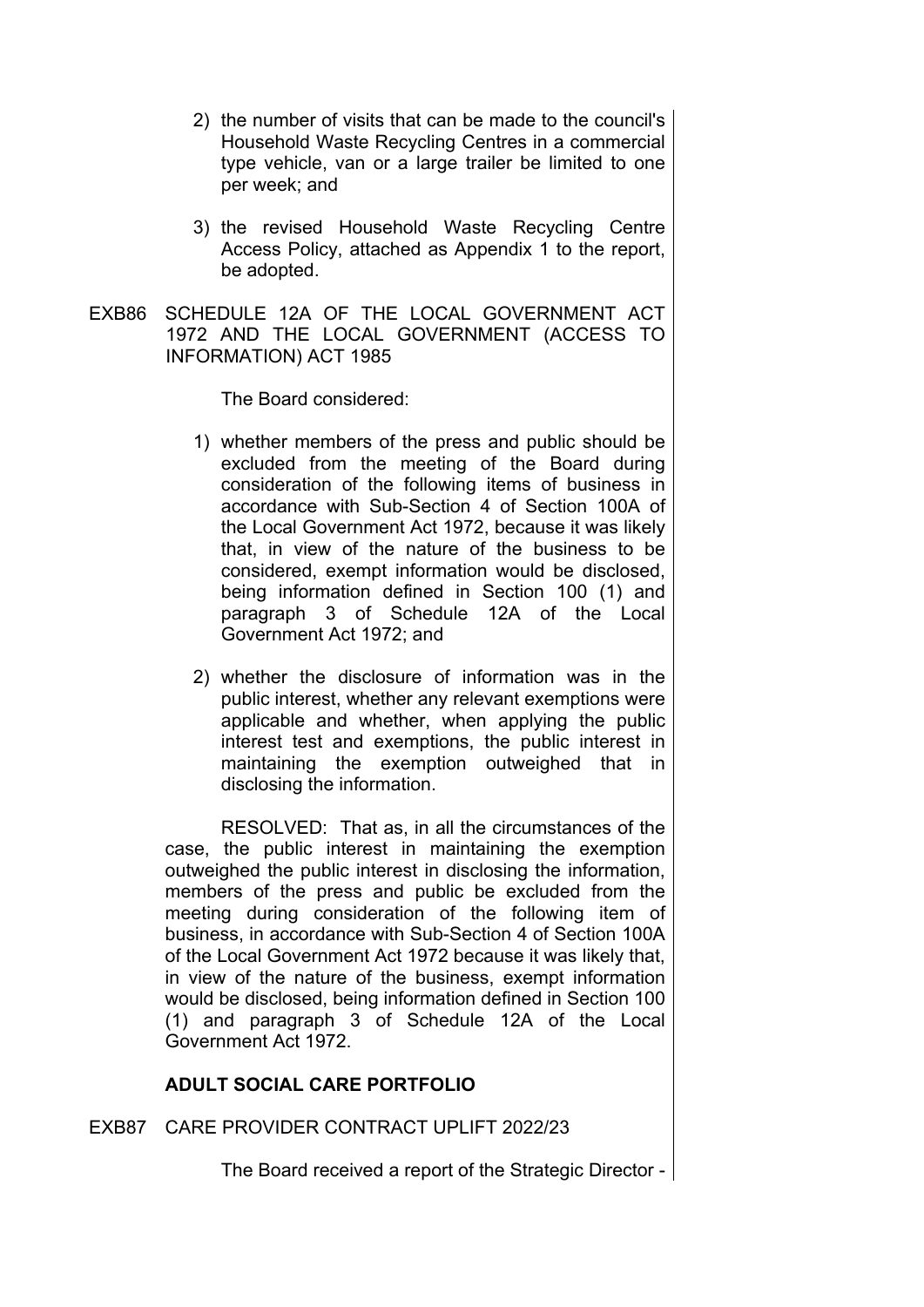- 2) the number of visits that can be made to the council's Household Waste Recycling Centres in a commercial type vehicle, van or a large trailer be limited to one per week; and
- 3) the revised Household Waste Recycling Centre Access Policy, attached as Appendix 1 to the report, be adopted.
- EXB86 SCHEDULE 12A OF THE LOCAL GOVERNMENT ACT 1972 AND THE LOCAL GOVERNMENT (ACCESS TO INFORMATION) ACT 1985

The Board considered:

- 1) whether members of the press and public should be excluded from the meeting of the Board during consideration of the following items of business in accordance with Sub-Section 4 of Section 100A of the Local Government Act 1972, because it was likely that, in view of the nature of the business to be considered, exempt information would be disclosed, being information defined in Section 100 (1) and paragraph 3 of Schedule 12A of the Local Government Act 1972; and
- 2) whether the disclosure of information was in the public interest, whether any relevant exemptions were applicable and whether, when applying the public interest test and exemptions, the public interest in maintaining the exemption outweighed that in disclosing the information.

RESOLVED: That as, in all the circumstances of the case, the public interest in maintaining the exemption outweighed the public interest in disclosing the information, members of the press and public be excluded from the meeting during consideration of the following item of business, in accordance with Sub-Section 4 of Section 100A of the Local Government Act 1972 because it was likely that, in view of the nature of the business, exempt information would be disclosed, being information defined in Section 100 (1) and paragraph 3 of Schedule 12A of the Local Government Act 1972.

## **ADULT SOCIAL CARE PORTFOLIO**

## EXB87 CARE PROVIDER CONTRACT UPLIFT 2022/23

The Board received a report of the Strategic Director -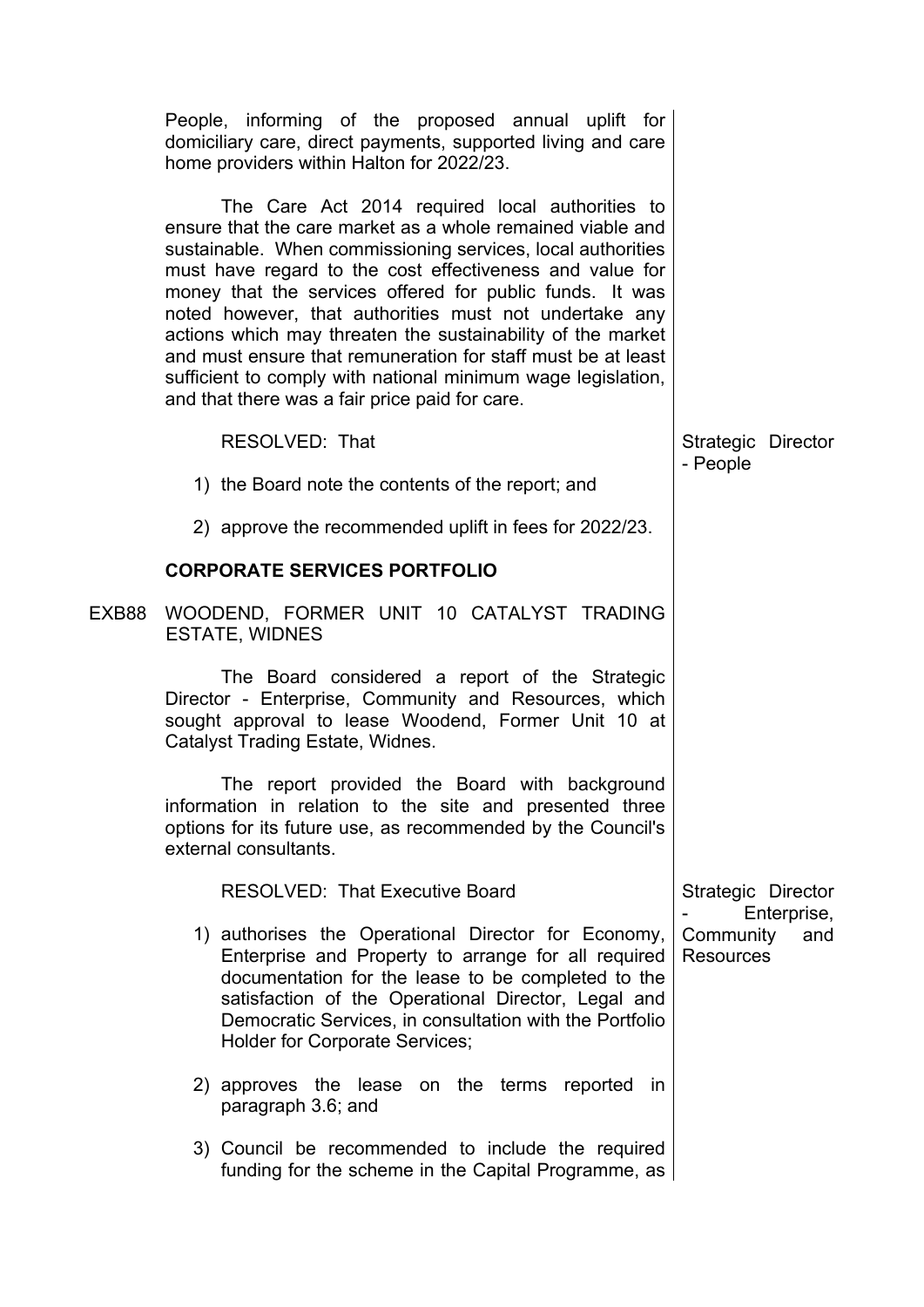|       | People, informing of the proposed annual uplift for<br>domiciliary care, direct payments, supported living and care<br>home providers within Halton for 2022/23.                                                                                                                                                                                                                                                                                                                                                                                                                                                |                                                     |
|-------|-----------------------------------------------------------------------------------------------------------------------------------------------------------------------------------------------------------------------------------------------------------------------------------------------------------------------------------------------------------------------------------------------------------------------------------------------------------------------------------------------------------------------------------------------------------------------------------------------------------------|-----------------------------------------------------|
|       | The Care Act 2014 required local authorities to<br>ensure that the care market as a whole remained viable and<br>sustainable. When commissioning services, local authorities<br>must have regard to the cost effectiveness and value for<br>money that the services offered for public funds. It was<br>noted however, that authorities must not undertake any<br>actions which may threaten the sustainability of the market<br>and must ensure that remuneration for staff must be at least<br>sufficient to comply with national minimum wage legislation,<br>and that there was a fair price paid for care. |                                                     |
|       | RESOLVED: That                                                                                                                                                                                                                                                                                                                                                                                                                                                                                                                                                                                                  | Strategic Director                                  |
|       | 1) the Board note the contents of the report; and                                                                                                                                                                                                                                                                                                                                                                                                                                                                                                                                                               | - People                                            |
|       | 2) approve the recommended uplift in fees for 2022/23.                                                                                                                                                                                                                                                                                                                                                                                                                                                                                                                                                          |                                                     |
|       | <b>CORPORATE SERVICES PORTFOLIO</b>                                                                                                                                                                                                                                                                                                                                                                                                                                                                                                                                                                             |                                                     |
| EXB88 | WOODEND, FORMER UNIT 10 CATALYST TRADING<br><b>ESTATE, WIDNES</b>                                                                                                                                                                                                                                                                                                                                                                                                                                                                                                                                               |                                                     |
|       | The Board considered a report of the Strategic<br>Director - Enterprise, Community and Resources, which<br>sought approval to lease Woodend, Former Unit 10 at<br>Catalyst Trading Estate, Widnes.                                                                                                                                                                                                                                                                                                                                                                                                              |                                                     |
|       | The report provided the Board with background<br>information in relation to the site and presented three<br>options for its future use, as recommended by the Council's<br>external consultants.                                                                                                                                                                                                                                                                                                                                                                                                                |                                                     |
|       | <b>RESOLVED: That Executive Board</b>                                                                                                                                                                                                                                                                                                                                                                                                                                                                                                                                                                           | Strategic Director                                  |
|       | 1) authorises the Operational Director for Economy,<br>Enterprise and Property to arrange for all required<br>documentation for the lease to be completed to the<br>satisfaction of the Operational Director, Legal and<br>Democratic Services, in consultation with the Portfolio<br><b>Holder for Corporate Services;</b>                                                                                                                                                                                                                                                                                     | Enterprise,<br>Community<br>and<br><b>Resources</b> |
|       | 2) approves the lease on the terms reported<br>in.<br>paragraph 3.6; and                                                                                                                                                                                                                                                                                                                                                                                                                                                                                                                                        |                                                     |
|       | 3) Council be recommended to include the required<br>funding for the scheme in the Capital Programme, as                                                                                                                                                                                                                                                                                                                                                                                                                                                                                                        |                                                     |